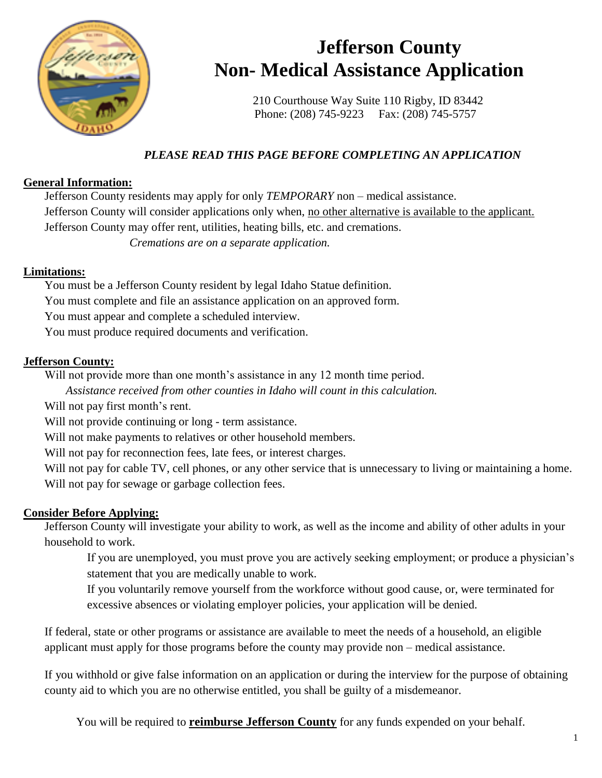

## **Jefferson County Non- Medical Assistance Application**

210 Courthouse Way Suite 110 Rigby, ID 83442 Phone: (208) 745-9223 Fax: (208) 745-5757

## *PLEASE READ THIS PAGE BEFORE COMPLETING AN APPLICATION*

## **General Information:**

Jefferson County residents may apply for only *TEMPORARY* non – medical assistance. Jefferson County will consider applications only when, no other alternative is available to the applicant. Jefferson County may offer rent, utilities, heating bills, etc. and cremations. *Cremations are on a separate application.*

## **Limitations:**

You must be a Jefferson County resident by legal Idaho Statue definition. You must complete and file an assistance application on an approved form. You must appear and complete a scheduled interview. You must produce required documents and verification.

## **Jefferson County:**

Will not provide more than one month's assistance in any 12 month time period.

*Assistance received from other counties in Idaho will count in this calculation.*

Will not pay first month's rent.

Will not provide continuing or long - term assistance.

Will not make payments to relatives or other household members.

Will not pay for reconnection fees, late fees, or interest charges.

Will not pay for cable TV, cell phones, or any other service that is unnecessary to living or maintaining a home. Will not pay for sewage or garbage collection fees.

## **Consider Before Applying:**

Jefferson County will investigate your ability to work, as well as the income and ability of other adults in your household to work.

If you are unemployed, you must prove you are actively seeking employment; or produce a physician's statement that you are medically unable to work.

If you voluntarily remove yourself from the workforce without good cause, or, were terminated for excessive absences or violating employer policies, your application will be denied.

If federal, state or other programs or assistance are available to meet the needs of a household, an eligible applicant must apply for those programs before the county may provide non – medical assistance.

If you withhold or give false information on an application or during the interview for the purpose of obtaining county aid to which you are no otherwise entitled, you shall be guilty of a misdemeanor.

You will be required to **reimburse Jefferson County** for any funds expended on your behalf.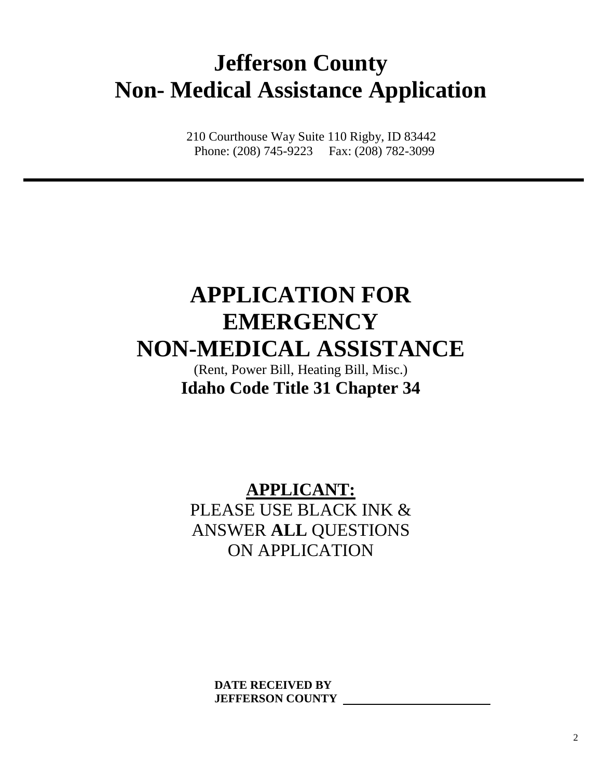# **Jefferson County Non- Medical Assistance Application**

210 Courthouse Way Suite 110 Rigby, ID 83442 Phone: (208) 745-9223 Fax: (208) 782-3099

# **APPLICATION FOR EMERGENCY NON-MEDICAL ASSISTANCE**

(Rent, Power Bill, Heating Bill, Misc.) **Idaho Code Title 31 Chapter 34**

**APPLICANT:** PLEASE USE BLACK INK & ANSWER **ALL** QUESTIONS ON APPLICATION

> **DATE RECEIVED BY JEFFERSON COUNTY**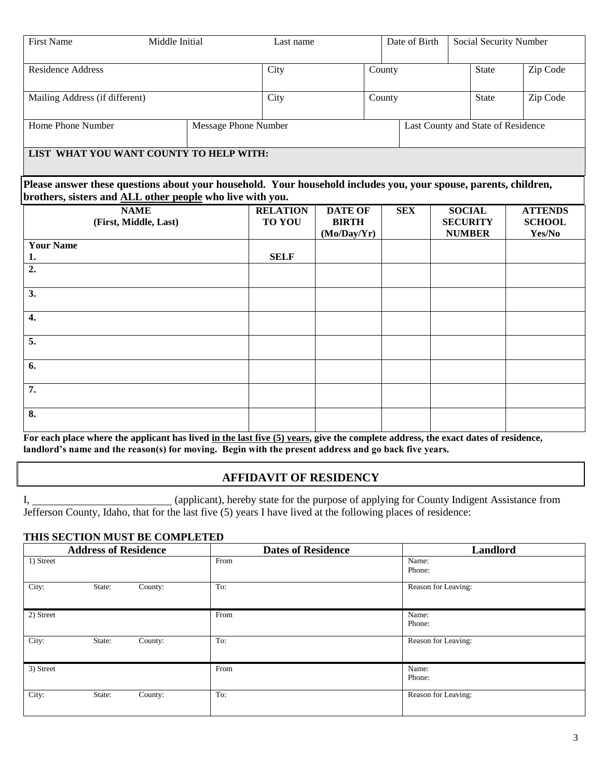| <b>First Name</b>                                                                                                                                                             | Middle Initial                       | Last name                        |                                               | Date of Birth | <b>Social Security Number</b>                     |                                           |
|-------------------------------------------------------------------------------------------------------------------------------------------------------------------------------|--------------------------------------|----------------------------------|-----------------------------------------------|---------------|---------------------------------------------------|-------------------------------------------|
| <b>Residence Address</b>                                                                                                                                                      |                                      | City                             |                                               | County        | <b>State</b>                                      | Zip Code                                  |
| Mailing Address (if different)                                                                                                                                                |                                      | City                             |                                               | County        | <b>State</b>                                      | Zip Code                                  |
| Home Phone Number                                                                                                                                                             |                                      | <b>Message Phone Number</b>      |                                               |               | Last County and State of Residence                |                                           |
| LIST WHAT YOU WANT COUNTY TO HELP WITH:                                                                                                                                       |                                      |                                  |                                               |               |                                                   |                                           |
| Please answer these questions about your household. Your household includes you, your spouse, parents, children,<br>brothers, sisters and ALL other people who live with you. |                                      |                                  |                                               |               |                                                   |                                           |
|                                                                                                                                                                               | <b>NAME</b><br>(First, Middle, Last) | <b>RELATION</b><br><b>TO YOU</b> | <b>DATE OF</b><br><b>BIRTH</b><br>(Mo/Day/Yr) | <b>SEX</b>    | <b>SOCIAL</b><br><b>SECURITY</b><br><b>NUMBER</b> | <b>ATTENDS</b><br><b>SCHOOL</b><br>Yes/No |
| <b>Your Name</b><br>1.                                                                                                                                                        |                                      | <b>SELF</b>                      |                                               |               |                                                   |                                           |
| $\overline{2}$ .                                                                                                                                                              |                                      |                                  |                                               |               |                                                   |                                           |
| 3.                                                                                                                                                                            |                                      |                                  |                                               |               |                                                   |                                           |
| $\overline{4}$ .                                                                                                                                                              |                                      |                                  |                                               |               |                                                   |                                           |
| 5.                                                                                                                                                                            |                                      |                                  |                                               |               |                                                   |                                           |
| 6.                                                                                                                                                                            |                                      |                                  |                                               |               |                                                   |                                           |
| 7.                                                                                                                                                                            |                                      |                                  |                                               |               |                                                   |                                           |
| 8.                                                                                                                                                                            |                                      |                                  |                                               |               |                                                   |                                           |

For each place where the applicant has lived in the last five (5) years, give the complete address, the exact dates of residence, **landlord's name and the reason(s) for moving. Begin with the present address and go back five years.**

#### **AFFIDAVIT OF RESIDENCY**

I, (applicant), hereby state for the purpose of applying for County Indigent Assistance from Jefferson County, Idaho, that for the last five (5) years I have lived at the following places of residence:

#### **THIS SECTION MUST BE COMPLETED**

|           | <b>Address of Residence</b> |         | <b>Dates of Residence</b> | Landlord            |
|-----------|-----------------------------|---------|---------------------------|---------------------|
| 1) Street |                             |         | From                      | Name:<br>Phone:     |
| City:     | State:                      | County: | To:                       | Reason for Leaving: |
| 2) Street |                             |         | From                      | Name:<br>Phone:     |
| City:     | State:                      | County: | To:                       | Reason for Leaving: |
| 3) Street |                             |         | From                      | Name:<br>Phone:     |
| City:     | State:                      | County: | To:                       | Reason for Leaving: |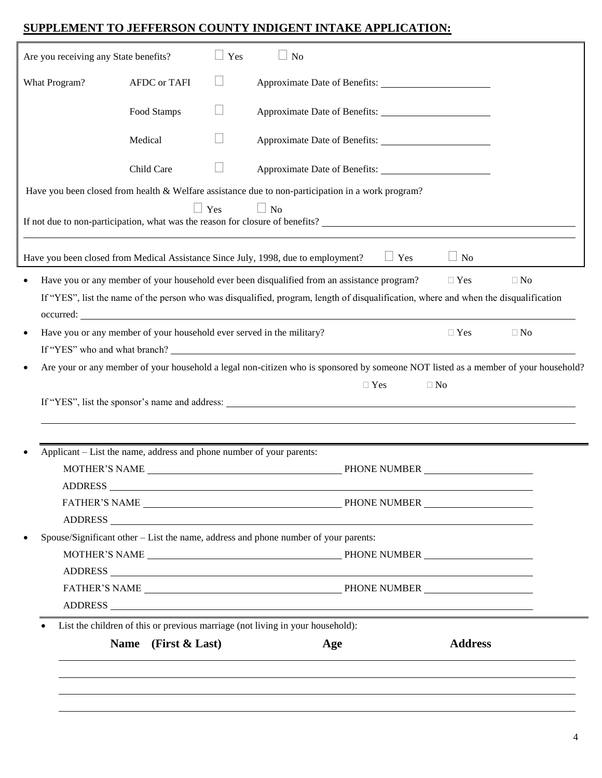## **SUPPLEMENT TO JEFFERSON COUNTY INDIGENT INTAKE APPLICATION:**

| Are you receiving any State benefits?                                                                                                                                      |                                                                                       | Yes        | N <sub>o</sub>                                                                                                                                                                                                                                                                                                                                                                                                                                                            |                |           |
|----------------------------------------------------------------------------------------------------------------------------------------------------------------------------|---------------------------------------------------------------------------------------|------------|---------------------------------------------------------------------------------------------------------------------------------------------------------------------------------------------------------------------------------------------------------------------------------------------------------------------------------------------------------------------------------------------------------------------------------------------------------------------------|----------------|-----------|
| What Program?                                                                                                                                                              | <b>AFDC</b> or TAFI                                                                   |            |                                                                                                                                                                                                                                                                                                                                                                                                                                                                           |                |           |
|                                                                                                                                                                            | Food Stamps                                                                           |            |                                                                                                                                                                                                                                                                                                                                                                                                                                                                           |                |           |
|                                                                                                                                                                            | Medical                                                                               |            | Approximate Date of Benefits:                                                                                                                                                                                                                                                                                                                                                                                                                                             |                |           |
|                                                                                                                                                                            | Child Care                                                                            |            |                                                                                                                                                                                                                                                                                                                                                                                                                                                                           |                |           |
|                                                                                                                                                                            |                                                                                       | $\Box$ Yes | Have you been closed from health & Welfare assistance due to non-participation in a work program?<br>$\Box$ No<br>If not due to non-participation, what was the reason for closure of benefits?                                                                                                                                                                                                                                                                           |                |           |
|                                                                                                                                                                            |                                                                                       |            | $\Box$ Yes<br>Have you been closed from Medical Assistance Since July, 1998, due to employment?                                                                                                                                                                                                                                                                                                                                                                           | $\Box$ No      |           |
| $\bullet$                                                                                                                                                                  |                                                                                       |            | Have you or any member of your household ever been disqualified from an assistance program?<br>If "YES", list the name of the person who was disqualified, program, length of disqualification, where and when the disqualification<br>occurred: <u>contract</u> contract the contract of the contract of the contract of the contract of the contract of the contract of the contract of the contract of the contract of the contract of the contract of the contract of | $\Box$ Yes     | $\Box$ No |
| Have you or any member of your household ever served in the military?<br>$\bullet$                                                                                         |                                                                                       |            |                                                                                                                                                                                                                                                                                                                                                                                                                                                                           | $\Box$ Yes     | $\Box$ No |
| Are your or any member of your household a legal non-citizen who is sponsored by someone NOT listed as a member of your household?<br>$\bullet$<br>$\Box$ Yes<br>$\Box$ No |                                                                                       |            |                                                                                                                                                                                                                                                                                                                                                                                                                                                                           |                |           |
| Applicant – List the name, address and phone number of your parents:                                                                                                       |                                                                                       |            |                                                                                                                                                                                                                                                                                                                                                                                                                                                                           |                |           |
|                                                                                                                                                                            | <b>ADDRESS</b>                                                                        |            |                                                                                                                                                                                                                                                                                                                                                                                                                                                                           |                |           |
| $\bullet$                                                                                                                                                                  | Spouse/Significant other $-$ List the name, address and phone number of your parents: |            |                                                                                                                                                                                                                                                                                                                                                                                                                                                                           |                |           |
|                                                                                                                                                                            |                                                                                       |            |                                                                                                                                                                                                                                                                                                                                                                                                                                                                           |                |           |
|                                                                                                                                                                            | Name (First & Last)                                                                   |            | List the children of this or previous marriage (not living in your household):<br>Age                                                                                                                                                                                                                                                                                                                                                                                     | <b>Address</b> |           |
|                                                                                                                                                                            |                                                                                       |            |                                                                                                                                                                                                                                                                                                                                                                                                                                                                           |                |           |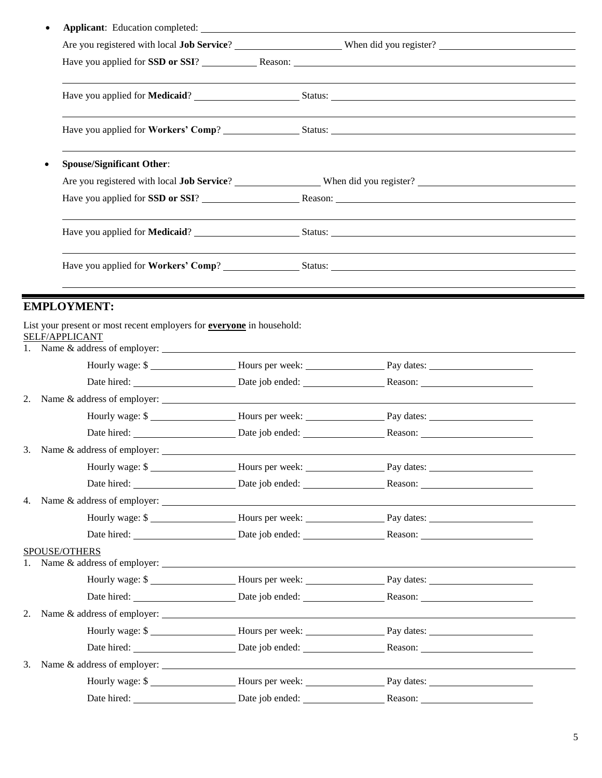|    |                                                                                                                                                     |  | Have you applied for SSD or SSI? Reason: Reason:                                                                                                                                                                                    |
|----|-----------------------------------------------------------------------------------------------------------------------------------------------------|--|-------------------------------------------------------------------------------------------------------------------------------------------------------------------------------------------------------------------------------------|
|    |                                                                                                                                                     |  |                                                                                                                                                                                                                                     |
|    |                                                                                                                                                     |  | Have you applied for <b>Workers' Comp</b> ? Status: Status: Status: Status: Status: Status: Status: Status: Status: Status: Status: Status: Status: Status: Status: Status: Status: Status: Status: Status: Status: Status: Status: |
|    | <b>Spouse/Significant Other:</b>                                                                                                                    |  |                                                                                                                                                                                                                                     |
|    |                                                                                                                                                     |  |                                                                                                                                                                                                                                     |
|    |                                                                                                                                                     |  | Have you applied for SSD or SSI? Reason: Reason: Reason:                                                                                                                                                                            |
|    |                                                                                                                                                     |  |                                                                                                                                                                                                                                     |
|    |                                                                                                                                                     |  | Have you applied for <b>Workers' Comp</b> ? Status: Status: Status: Status: Status: Status: Status: Status: Status: Status: Status: Status: Status: Status: Status: Status: Status: Status: Status: Status: Status: Status: Status: |
|    |                                                                                                                                                     |  |                                                                                                                                                                                                                                     |
|    | <b>EMPLOYMENT:</b>                                                                                                                                  |  |                                                                                                                                                                                                                                     |
|    | List your present or most recent employers for <b>everyone</b> in household:<br>SELF/APPLICANT<br>1. Name $\&$ address of employer: $\qquad \qquad$ |  |                                                                                                                                                                                                                                     |
|    |                                                                                                                                                     |  | Hourly wage: \$                                                                                                                                                                                                                     |
|    |                                                                                                                                                     |  |                                                                                                                                                                                                                                     |
|    | 2. Name $\&$ address of employer: $\qquad \qquad$                                                                                                   |  |                                                                                                                                                                                                                                     |
|    |                                                                                                                                                     |  | Hourly wage: \$                                                                                                                                                                                                                     |
|    |                                                                                                                                                     |  | Date hired: Date iob ended: Reason: Reason:                                                                                                                                                                                         |
|    |                                                                                                                                                     |  |                                                                                                                                                                                                                                     |
|    |                                                                                                                                                     |  | Hourly wage: \$                                                                                                                                                                                                                     |
|    |                                                                                                                                                     |  | Date hired: Date iob ended: Reason: Reason:                                                                                                                                                                                         |
|    | 4. Name $\&$ address of employer: $\qquad \qquad$                                                                                                   |  |                                                                                                                                                                                                                                     |
|    |                                                                                                                                                     |  | Hourly wage: \$                                                                                                                                                                                                                     |
|    |                                                                                                                                                     |  |                                                                                                                                                                                                                                     |
| 1. | SPOUSE/OTHERS                                                                                                                                       |  |                                                                                                                                                                                                                                     |
|    |                                                                                                                                                     |  | Hourly wage: \$                                                                                                                                                                                                                     |
|    |                                                                                                                                                     |  |                                                                                                                                                                                                                                     |
|    |                                                                                                                                                     |  |                                                                                                                                                                                                                                     |
|    |                                                                                                                                                     |  | Hourly wage: \$                                                                                                                                                                                                                     |
|    |                                                                                                                                                     |  |                                                                                                                                                                                                                                     |
|    |                                                                                                                                                     |  |                                                                                                                                                                                                                                     |
|    |                                                                                                                                                     |  | Hourly wage: \$                                                                                                                                                                                                                     |
|    |                                                                                                                                                     |  |                                                                                                                                                                                                                                     |

 $\blacksquare$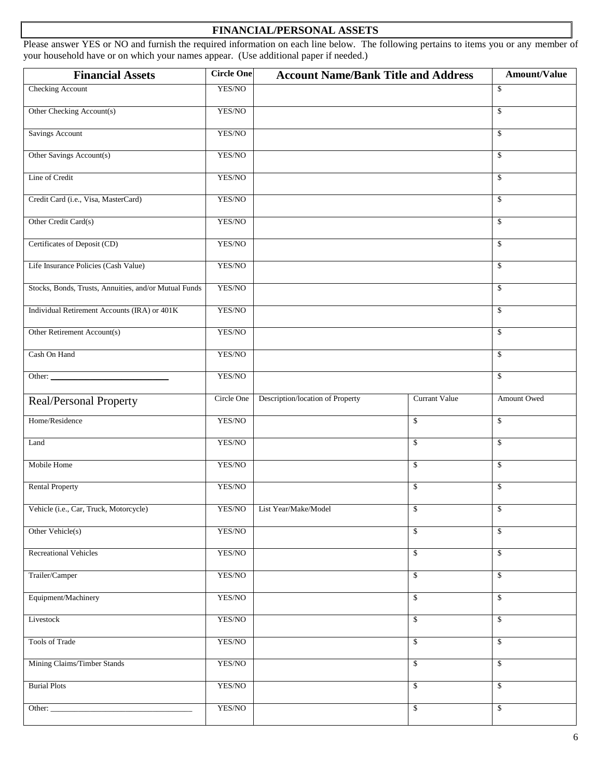## **FINANCIAL/PERSONAL ASSETS**

Please answer YES or NO and furnish the required information on each line below. The following pertains to items you or any member of your household have or on which your names appear. (Use additional paper if needed.)

| <b>Financial Assets</b>                               | <b>Circle One</b> | <b>Account Name/Bank Title and Address</b> |                         | Amount/Value  |
|-------------------------------------------------------|-------------------|--------------------------------------------|-------------------------|---------------|
| Checking Account                                      | YES/NO            |                                            |                         | \$            |
| Other Checking Account(s)                             | YES/NO            |                                            |                         | \$            |
| <b>Savings Account</b>                                | YES/NO            |                                            |                         | \$            |
| Other Savings Account(s)                              | YES/NO            |                                            |                         | \$            |
| Line of Credit                                        | YES/NO            |                                            |                         | $\mathsf{\$}$ |
| Credit Card (i.e., Visa, MasterCard)                  | YES/NO            |                                            |                         | \$            |
| Other Credit Card(s)                                  | YES/NO            |                                            |                         | \$            |
| Certificates of Deposit (CD)                          | YES/NO            |                                            |                         | \$            |
| Life Insurance Policies (Cash Value)                  | YES/NO            |                                            |                         | $\mathsf{\$}$ |
| Stocks, Bonds, Trusts, Annuities, and/or Mutual Funds | YES/NO            |                                            |                         | \$            |
| Individual Retirement Accounts (IRA) or 401K          | YES/NO            |                                            |                         | \$            |
| Other Retirement Account(s)                           | YES/NO            |                                            |                         | \$            |
| Cash On Hand                                          | YES/NO            |                                            |                         | $\mathsf{\$}$ |
| Other:                                                | YES/NO            |                                            |                         | \$            |
| Real/Personal Property                                | Circle One        | Description/location of Property           | Currant Value           | Amount Owed   |
| Home/Residence                                        | YES/NO            |                                            | \$                      | \$            |
| Land                                                  | YES/NO            |                                            | \$                      | $\mathbf S$   |
| Mobile Home                                           | YES/NO            |                                            | \$                      | \$            |
| <b>Rental Property</b>                                | YES/NO            |                                            | \$                      | \$            |
| Vehicle (i.e., Car, Truck, Motorcycle)                |                   | YES/NO List Year/Make/Model                | $\sqrt[6]{\frac{1}{2}}$ | \$            |
| Other Vehicle(s)                                      | YES/NO            |                                            | \$                      | \$            |
| <b>Recreational Vehicles</b>                          | YES/NO            |                                            | \$                      | $\mathbb{S}$  |
| Trailer/Camper                                        | YES/NO            |                                            | \$                      | \$            |
| Equipment/Machinery                                   | YES/NO            |                                            | \$                      | \$            |
| Livestock                                             | YES/NO            |                                            | \$                      | $\mathbf S$   |
| Tools of Trade                                        | YES/NO            |                                            | \$                      | \$            |
| Mining Claims/Timber Stands                           | YES/NO            |                                            | \$                      | \$            |
| <b>Burial Plots</b>                                   | YES/NO            |                                            | \$                      | \$            |
|                                                       | YES/NO            |                                            | \$                      | $\mathbb{S}$  |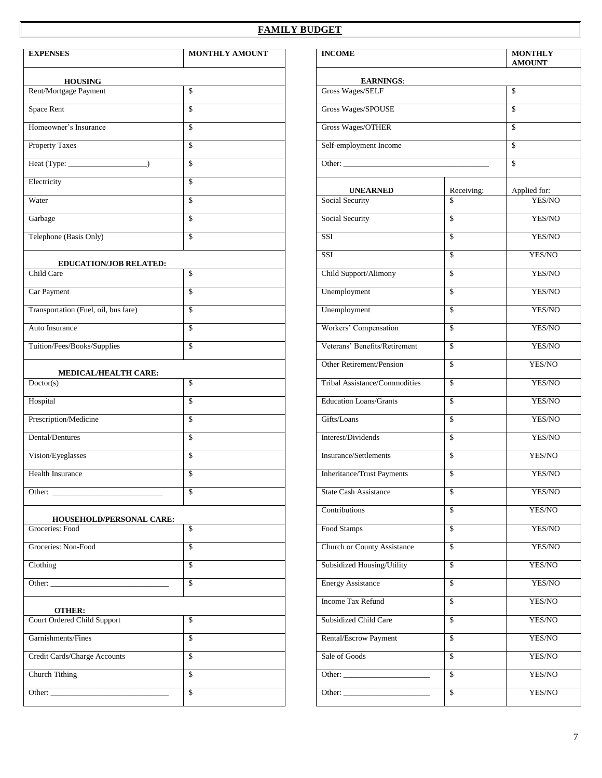#### **FAMILY BUDGET**

| <b>EXPENSES</b>                              | <b>MONTHLY AMOUNT</b> | <b>INCOME</b>                      |                          | <b>MONTHLY</b><br><b>AMOUNT</b> |
|----------------------------------------------|-----------------------|------------------------------------|--------------------------|---------------------------------|
| <b>HOUSING</b>                               |                       | <b>EARNINGS:</b>                   |                          |                                 |
| Rent/Mortgage Payment                        | \$                    | Gross Wages/SELF                   |                          | \$                              |
| Space Rent                                   | \$                    | Gross Wages/SPOUSE                 |                          |                                 |
| Homeowner's Insurance                        | \$                    | Gross Wages/OTHER                  |                          | \$                              |
| <b>Property Taxes</b>                        | \$                    | Self-employment Income             |                          | \$                              |
| Heat (Type:                                  | \$                    |                                    |                          | \$                              |
| Electricity                                  | \$                    | <b>UNEARNED</b>                    | Receiving:               | Applied for:                    |
| Water                                        | \$                    | Social Security                    | \$                       | YES/NO                          |
| Garbage                                      | \$                    | <b>Social Security</b>             | \$                       | YES/NO                          |
| Telephone (Basis Only)                       | \$                    | $\overline{\text{SSI}}$            | \$                       | YES/NO                          |
| EDUCATION/JOB RELATED:                       |                       | SSI                                | \$                       | YES/NO                          |
| Child Care                                   | \$                    | Child Support/Alimony              | $\mathsf{\$}$            | YES/NO                          |
| Car Payment                                  | \$                    | Unemployment                       | $\mathsf{\$}$            | YES/NO                          |
| Transportation (Fuel, oil, bus fare)         | \$                    | Unemployment                       | $\mathbb{S}$             | YES/NO                          |
| Auto Insurance                               | \$                    | Workers' Compensation              | \$                       | YES/NO                          |
| Tuition/Fees/Books/Supplies                  | \$                    | Veterans' Benefits/Retirement      | \$                       | YES/NO                          |
|                                              |                       | Other Retirement/Pension           | \$                       | YES/NO                          |
| MEDICAL/HEALTH CARE:<br>Doctor(s)            | \$                    | Tribal Assistance/Commodities      | \$                       | YES/NO                          |
| Hospital                                     | \$                    | <b>Education Loans/Grants</b>      | \$                       | YES/NO                          |
| Prescription/Medicine                        | \$                    | Gifts/Loans                        | \$                       | YES/NO                          |
| Dental/Dentures                              | \$                    | Interest/Dividends                 | \$                       | YES/NO                          |
| Vision/Eyeglasses                            | \$                    | Insurance/Settlements              | \$                       | YES/NO                          |
| <b>Health Insurance</b>                      | \$                    | <b>Inheritance/Trust Payments</b>  | \$                       | YES/NO                          |
| Other:                                       | \$                    | State Cash Assistance              | \$                       | YES/NO                          |
|                                              |                       | Contributions                      | $\mathbb{S}$             | YES/NO                          |
| HOUSEHOLD/PERSONAL CARE:<br>Groceries: Food  | $\mathbf{s}$          | Food Stamps                        | $\overline{\mathbf{s}}$  | YES/NO                          |
| Groceries: Non-Food                          | \$                    | <b>Church or County Assistance</b> | \$                       | YES/NO                          |
| Clothing                                     | \$                    | Subsidized Housing/Utility         | $\sqrt{3}$               | YES/NO                          |
|                                              | \$                    | <b>Energy Assistance</b>           | \$                       | YES/NO                          |
|                                              |                       | <b>Income Tax Refund</b>           | \$                       | YES/NO                          |
| <b>OTHER:</b><br>Court Ordered Child Support | \$                    | Subsidized Child Care              | \$                       | YES/NO                          |
| Garnishments/Fines                           | \$                    | Rental/Escrow Payment              | \$                       | YES/NO                          |
| Credit Cards/Charge Accounts                 | \$                    | Sale of Goods                      | $\overline{\mathcal{S}}$ | YES/NO                          |
| <b>Church Tithing</b>                        | $\mathbf{s}$          |                                    | $\mathcal{S}$            | YES/NO                          |
|                                              | $\mathbf{s}$          | Other:                             | $\mathbb{S}$             | YES/NO                          |

| <b>INCOME</b>                                                     |                          | <b>MONTHLY</b><br><b>AMOUNT</b> |  |
|-------------------------------------------------------------------|--------------------------|---------------------------------|--|
|                                                                   |                          |                                 |  |
| <b>EARNINGS:</b><br>Gross Wages/SELF                              |                          | \$                              |  |
| Gross Wages/SPOUSE                                                |                          | \$                              |  |
| Gross Wages/OTHER                                                 |                          | \$                              |  |
|                                                                   |                          |                                 |  |
| Self-employment Income                                            |                          | \$                              |  |
| Other: $\overline{\phantom{a}}$                                   |                          | \$                              |  |
| <b>UNEARNED</b>                                                   |                          |                                 |  |
| Social Security                                                   | Receiving:<br>\$         | Applied for:<br>YES/NO          |  |
| Social Security                                                   | \$                       | YES/NO                          |  |
| SSI                                                               | \$                       | YES/NO                          |  |
| <b>SSI</b>                                                        |                          | YES/NO                          |  |
|                                                                   | \$                       |                                 |  |
| Child Support/Alimony                                             | \$                       | YES/NO                          |  |
| Unemployment                                                      | \$                       | YES/NO                          |  |
| Unemployment                                                      | \$                       | YES/NO                          |  |
| Workers' Compensation                                             | \$                       | YES/NO                          |  |
| Veterans' Benefits/Retirement                                     | $\overline{\mathbb{S}}$  | YES/NO                          |  |
| Other Retirement/Pension                                          | \$                       | YES/NO                          |  |
| Tribal Assistance/Commodities                                     | \$                       | YES/NO                          |  |
| <b>Education Loans/Grants</b>                                     | \$                       | YES/NO                          |  |
| Gifts/Loans                                                       | \$                       | YES/NO                          |  |
| Interest/Dividends                                                | \$                       | YES/NO                          |  |
| Insurance/Settlements                                             | \$                       | YES/NO                          |  |
| Inheritance/Trust Payments                                        | \$                       | YES/NO                          |  |
| <b>State Cash Assistance</b>                                      | \$                       | YES/NO                          |  |
| Contributions                                                     | \$                       | YES/NO                          |  |
| Food Stamps                                                       | \$                       | YES/NO                          |  |
| <b>Church or County Assistance</b>                                | \$                       | YES/NO                          |  |
| Subsidized Housing/Utility                                        | \$                       | YES/NO                          |  |
| <b>Energy Assistance</b>                                          | \$                       | YES/NO                          |  |
| <b>Income Tax Refund</b>                                          | \$                       | YES/NO                          |  |
| Subsidized Child Care                                             | \$                       | YES/NO                          |  |
| Rental/Escrow Payment                                             | \$                       | YES/NO                          |  |
| Sale of Goods                                                     | $\overline{\mathcal{S}}$ | YES/NO                          |  |
| Other: $\frac{1}{\sqrt{1-\frac{1}{2}}\left(1-\frac{1}{2}\right)}$ | \$                       | YES/NO                          |  |
| Other: $\overline{\phantom{a}}$                                   | \$                       | YES/NO                          |  |
|                                                                   |                          |                                 |  |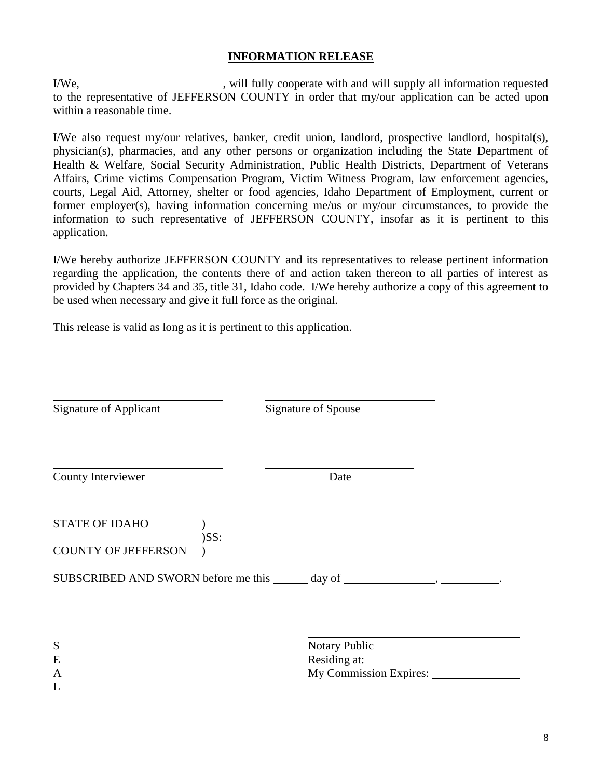#### **INFORMATION RELEASE**

I/We, will fully cooperate with and will supply all information requested to the representative of JEFFERSON COUNTY in order that my/our application can be acted upon within a reasonable time.

I/We also request my/our relatives, banker, credit union, landlord, prospective landlord, hospital(s), physician(s), pharmacies, and any other persons or organization including the State Department of Health & Welfare, Social Security Administration, Public Health Districts, Department of Veterans Affairs, Crime victims Compensation Program, Victim Witness Program, law enforcement agencies, courts, Legal Aid, Attorney, shelter or food agencies, Idaho Department of Employment, current or former employer(s), having information concerning me/us or my/our circumstances, to provide the information to such representative of JEFFERSON COUNTY, insofar as it is pertinent to this application.

I/We hereby authorize JEFFERSON COUNTY and its representatives to release pertinent information regarding the application, the contents there of and action taken thereon to all parties of interest as provided by Chapters 34 and 35, title 31, Idaho code. I/We hereby authorize a copy of this agreement to be used when necessary and give it full force as the original.

This release is valid as long as it is pertinent to this application.

| <b>Signature of Applicant</b>                       | Signature of Spouse                                                               |              |
|-----------------------------------------------------|-----------------------------------------------------------------------------------|--------------|
| <b>County Interviewer</b>                           | Date                                                                              |              |
| <b>STATE OF IDAHO</b><br><b>COUNTY OF JEFFERSON</b> | $)$ SS:                                                                           |              |
|                                                     | SUBSCRIBED AND SWORN before me this ______ day of _______________________________ |              |
| S<br>E<br>A<br>L                                    | Notary Public<br>My Commission Expires:                                           | Residing at: |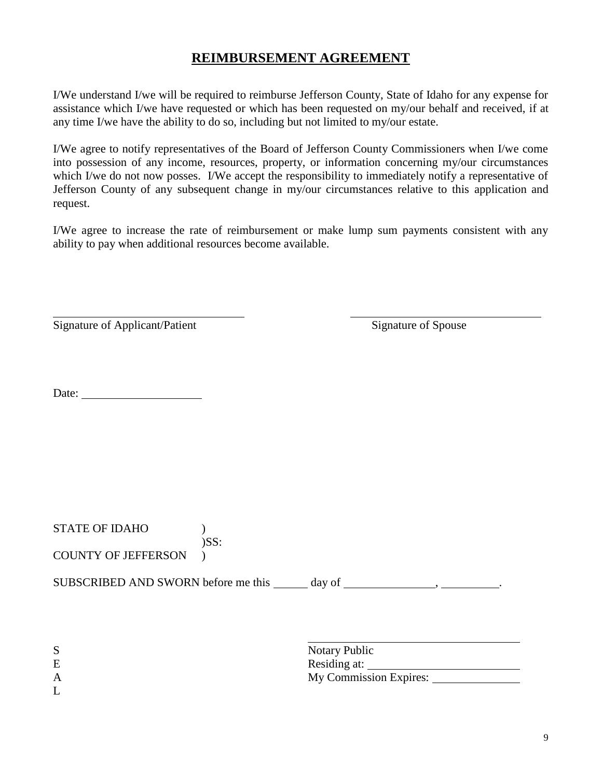## **REIMBURSEMENT AGREEMENT**

I/We understand I/we will be required to reimburse Jefferson County, State of Idaho for any expense for assistance which I/we have requested or which has been requested on my/our behalf and received, if at any time I/we have the ability to do so, including but not limited to my/our estate.

I/We agree to notify representatives of the Board of Jefferson County Commissioners when I/we come into possession of any income, resources, property, or information concerning my/our circumstances which I/we do not now posses. I/We accept the responsibility to immediately notify a representative of Jefferson County of any subsequent change in my/our circumstances relative to this application and request.

I/We agree to increase the rate of reimbursement or make lump sum payments consistent with any ability to pay when additional resources become available.

| Signature of Applicant/Patient | Signature of Spouse |
|--------------------------------|---------------------|
|--------------------------------|---------------------|

Date:

| <b>STATE OF IDAHO</b>               | $)$ SS:                                                        |  |
|-------------------------------------|----------------------------------------------------------------|--|
| <b>COUNTY OF JEFFERSON</b>          |                                                                |  |
| SUBSCRIBED AND SWORN before me this | day of                                                         |  |
| S<br>E<br>$\mathbf{A}$              | <b>Notary Public</b><br>Residing at:<br>My Commission Expires: |  |

L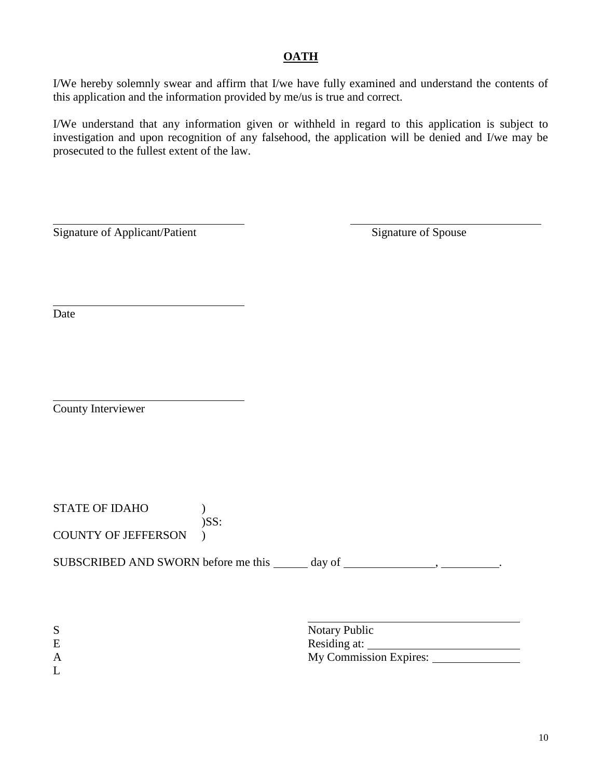## **OATH**

I/We hereby solemnly swear and affirm that I/we have fully examined and understand the contents of this application and the information provided by me/us is true and correct.

I/We understand that any information given or withheld in regard to this application is subject to investigation and upon recognition of any falsehood, the application will be denied and I/we may be prosecuted to the fullest extent of the law.

Signature of Applicant/Patient Signature of Spouse

Date

County Interviewer

STATE OF IDAHO ) )SS: COUNTY OF JEFFERSON )

SUBSCRIBED AND SWORN before me this \_\_\_\_\_ day of \_\_\_\_\_\_\_\_\_\_\_\_\_\_\_\_\_\_\_\_\_\_\_\_\_\_\_\_\_\_\_\_.

| ຕ | Notary Public          |
|---|------------------------|
| E | Residing at:           |
| A | My Commission Expires: |
| ∸ |                        |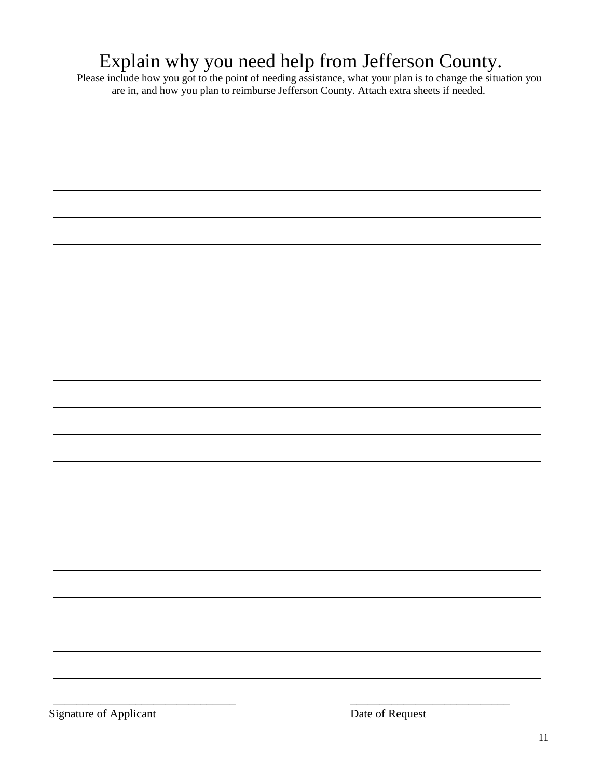## Explain why you need help from Jefferson County.

Please include how you got to the point of needing assistance, what your plan is to change the situation you are in, and how you plan to reimburse Jefferson County. Attach extra sheets if needed.

\_\_\_\_\_\_\_\_\_\_\_\_\_\_\_\_\_\_\_\_\_\_\_\_\_\_\_\_\_\_\_ \_\_\_\_\_\_\_\_\_\_\_\_\_\_\_\_\_\_\_\_\_\_\_\_\_\_\_

Signature of Applicant Date of Request